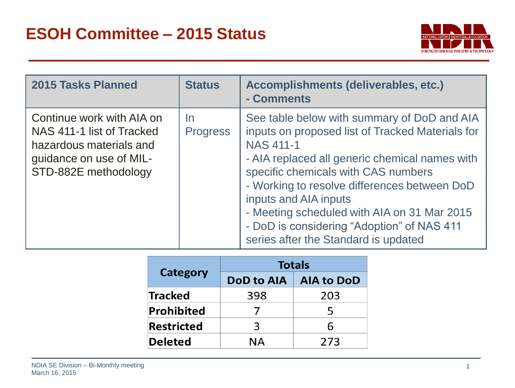

| <b>2015 Tasks Planned</b>                                                                                                            | <b>Status</b>                | Accomplishments (deliverables, etc.)<br>- Comments                                                                                                                                                                                                                                                                                                                                                                         |
|--------------------------------------------------------------------------------------------------------------------------------------|------------------------------|----------------------------------------------------------------------------------------------------------------------------------------------------------------------------------------------------------------------------------------------------------------------------------------------------------------------------------------------------------------------------------------------------------------------------|
| Continue work with AIA on<br>NAS 411-1 list of Tracked<br>hazardous materials and<br>guidance on use of MIL-<br>STD-882E methodology | <u>In</u><br><b>Progress</b> | See table below with summary of DoD and AIA<br>inputs on proposed list of Tracked Materials for<br><b>NAS 411-1</b><br>- AIA replaced all generic chemical names with<br>specific chemicals with CAS numbers<br>- Working to resolve differences between DoD<br>inputs and AIA inputs<br>- Meeting scheduled with AIA on 31 Mar 2015<br>- DoD is considering "Adoption" of NAS 411<br>series after the Standard is updated |

|                   |     | <b>Totals</b>                  |  |
|-------------------|-----|--------------------------------|--|
| <b>Category</b>   |     | <b>DoD to AIA   AIA to DoD</b> |  |
| <b>Tracked</b>    | 398 | 203                            |  |
| <b>Prohibited</b> |     | 5                              |  |
| <b>Restricted</b> | З   | 6                              |  |
| <b>Deleted</b>    | ΝA  | 273                            |  |